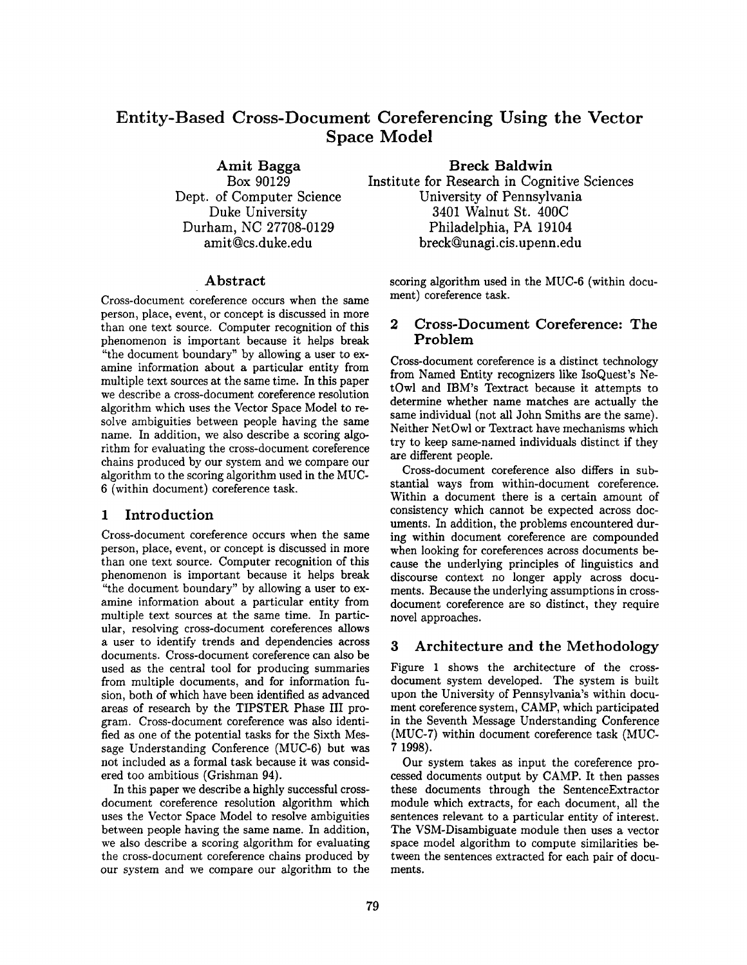# **Entity-Based Cross-Document Coreferencing Using the Vector Space Model**

Amit **Bagga**  Box 90129 Dept. of Computer Science Duke University Durham, NC 27708-0129 amit@cs.duke.edu

# Abstract

Cross-document coreference occurs when the same person, place, event, or concept is discussed in more than one text source. Computer recognition of this phenomenon is important because it helps break "the document boundary" by allowing a user to examine information about a particular entity from multiple text sources at the same time. In this paper we describe a cross-document coreference resolution algorithm which uses the Vector Space Model to resolve ambiguities between people having the same name. In addition, we also describe a scoring algorithm for evaluating the cross-document coreference chains produced by our system and we compare our algorithm to the scoring algorithm used in the MUC-6 (within document) coreference task.

### 1 Introduction

Cross-document coreference occurs when the same person, place, event, or concept is discussed in more than one text source. Computer recognition of this phenomenon is important because it helps break "the document boundary" by allowing a user to examine information about a particular entity from multiple text sources at the same time. In particular, resolving cross-document coreferences allows a user to identify trends and dependencies across documents. Cross-document coreference can also be used as the central tool for producing summaries from multiple documents, and for information fusion, both of which have been identified as advanced areas of research by the TIPSTER Phase III program. Cross-document coreference was also identified as one of the potential tasks for the Sixth Message Understanding Conference (MUC-6) but was not included as a formal task because it was considered too ambitious (Grishman 94).

In this paper we describe a highly successful crossdocument coreference resolution algorithm which uses the Vector Space Model to resolve ambiguities between people having the same name. In addition, we also describe a scoring algorithm for evaluating the cross-document coreference chains produced by our system and we compare our algorithm to the

**Breck** Baldwin Institute for Research in Cognitive Sciences University of Pennsylvania 3401 Walnut St. 400C Philadelphia, PA 19104 breck@unagi.cis.upenn.edu

scoring algorithm used in the MUC-6 (within document) coreference task.

# 2 Cross-Document Coreference: The Problem

Cross-document coreference is a distinct technology from Named Entity recognizers like IsoQuest's NetOwl and IBM's Textract because it attempts to determine whether name matches are actually the same individual (not all John Smiths are the same). Neither NetOwl or Textract have mechanisms which try to keep same-named individuals distinct if they are different people.

Cross-document coreference also differs in substantial ways from within-document coreference. Within a document there is a certain amount of consistency which cannot be expected across documents. In addition, the problems encountered during within document coreference are compounded when looking for coreferences across documents because the underlying principles of linguistics and discourse context no longer apply across documents. Because the underlying assumptions in crossdocument coreference are so distinct, they require novel approaches.

### 3 Architecture and the Methodology

Figure 1 shows the architecture of the crossdocument system developed. The system is built upon the University of Pennsylvania's within document coreference system, CAMP, which participated in the Seventh Message Understanding Conference (MUC-7) within document coreference task (MUC-7 1998).

Our system takes as input the coreference processed documents output by CAMP. It then passes these documents through the SentenceExtractor module which extracts, for each document, all the sentences relevant to a particular entity of interest. The VSM-Disambiguate module then uses a vector space model algorithm to compute similarities between the sentences extracted for each pair of documents.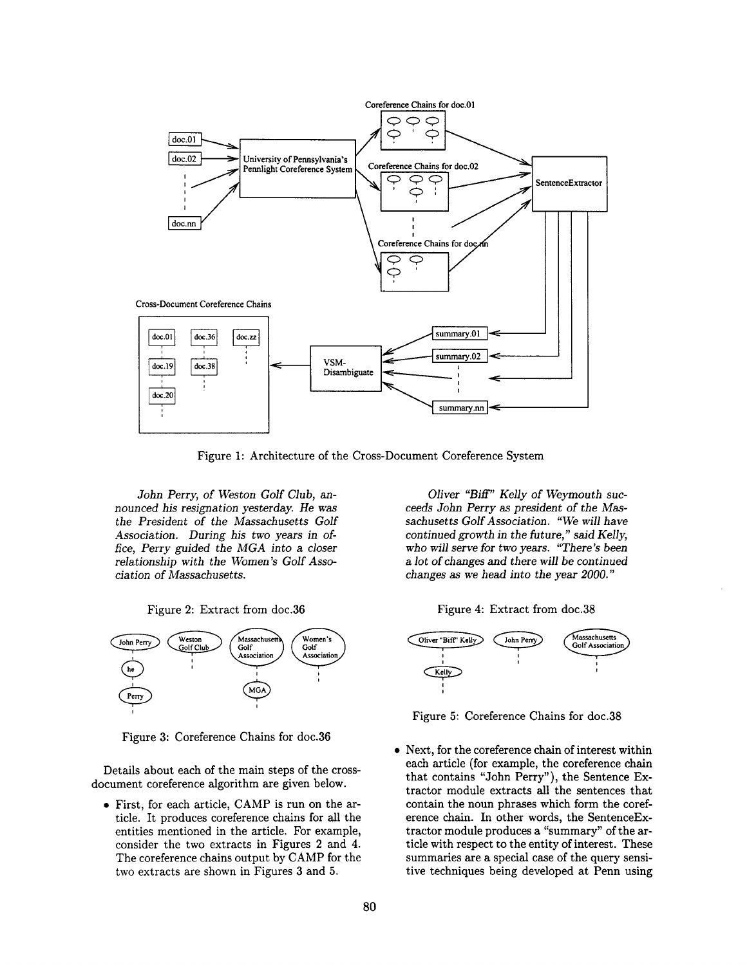

Figure 1: Architecture of the Cross-Document Coreference System

*John* Perry, *of Weston Golf Club, announced his resignation yesterday. He was the President of the Massachusetts Golf Association. During his two years in ofrice, Perry guided the MGA into a closer relationship with the Women's Golf Association of Massachusetts.* 





Figure 3: Coreference Chains for doc.36

Details about each of the main steps of the crossdocument coreference algorithm are given below.

• First, for each article, CAMP is run on the article. It produces coreference chains for all the entities mentioned in the article. For example, consider the two extracts in Figures 2 and 4. The coreference chains output by CAMP for the two extracts are shown in Figures 3 and 5.

*Oliver "Biff" Kelly of Weymouth succeeds John Perry as president of the Massachusetts Golf Association. "We will have continued growth in the future," said Kelly, who will serve for two years. "There's* been *a lot of changes and* there *will* be *continued*  changes *as we head into the year 2000."* 





Figure 5: Coreference Chains for doc.38

Next, for the coreference chain of interest within each article (for example, the coreference chain that contains "John Perry"), the Sentence Extractor module extracts all the sentences that contain the noun phrases which form the coreference chain. In other words, the SentenceExtractor module produces a "summary" of the article with respect to the entity of interest. These summaries are a special case of the query sensitive techniques being developed at Penn using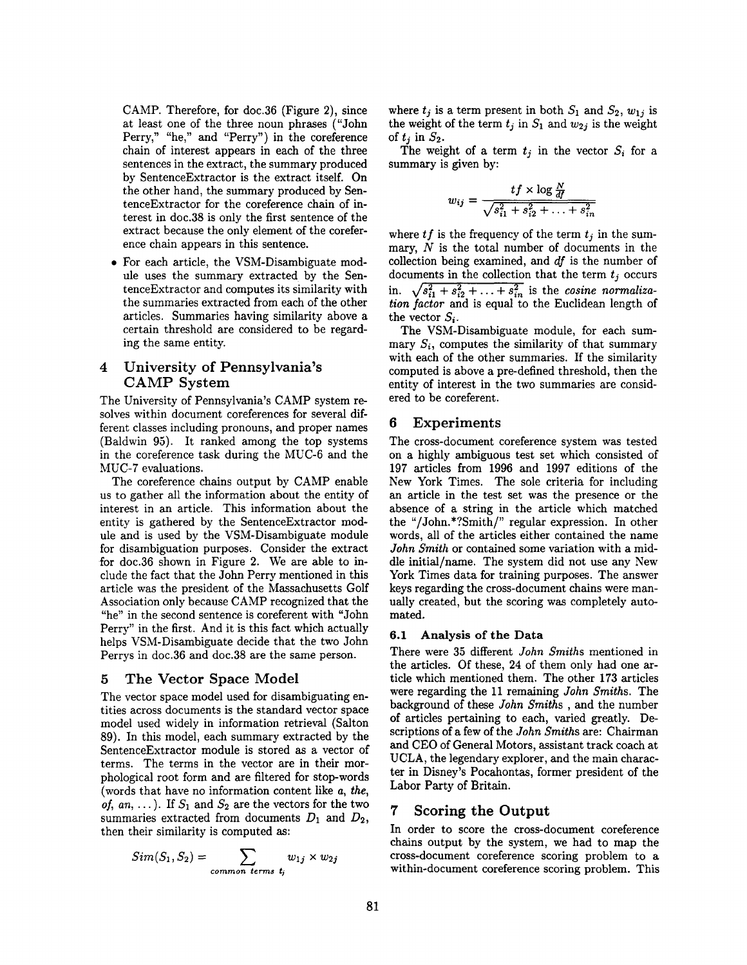CAMP. Therefore, for doc.36 (Figure 2), since at least one of the three noun phrases ("John Perry," "he," and "Perry") in the coreference chain of interest appears in each of the three sentences in the extract, the summary produced by SentenceExtractor is the extract itself. On the other hand, the summary produced by SentenceExtractor for the coreference chain of interest in doc.38 is only the first sentence of the extract because the only element of the coreference chain appears in this sentence.

\* For each article, the VSM-Disambiguate module uses the summary extracted by the SentenceExtractor and computes its similarity with the summaries extracted from each of the other articles. Summaries having similarity above a certain threshold are considered to be regarding the same entity.

# 4 University of Pennsylvania's CAMP System

The University of Pennsylvania's CAMP system resolves within document coreferences for several different classes including pronouns, and proper names (Baldwin 95). It ranked among the top systems in the coreference task during the MUC-6 and the MUC-7 evaluations.

The coreference chains output by CAMP enable us to gather all the information about the entity of interest in an article. This information about the entity is gathered by the SentenceExtractor module and is used by the VSM-Disambiguate module for disambiguation purposes. Consider the extract for doc.36 shown in Figure 2. We are able to include the fact that the John Perry mentioned in this article was the president of the Massachusetts Golf Association only because CAMP recognized that the "he" in the second sentence is coreferent with "John Perry" in the first. And it is this fact which actually helps VSM-Disambiguate decide that the two John Perrys in doc.36 and doc.38 are the same person.

### 5 The Vector Space Model

The vector space model used for disambiguating entities across documents is the standard vector space model used widely in information retrieval (Salton 89). In this model, each summary extracted by the SentenceExtractor module is stored as a vector of terms. The terms in the vector are in their morphological root form and are filtered for stop-words (words that have no information content like *a, the, of, an, ...).* If  $S_1$  and  $S_2$  are the vectors for the two summaries extracted from documents  $D_1$  and  $D_2$ , then their similarity is computed as:

$$
Sim(S_1, S_2) = \sum_{common \ terms \ t_j} w_{1j} \times w_{2j}
$$

where  $t_j$  is a term present in both  $S_1$  and  $S_2$ ,  $w_{1j}$  is the weight of the term  $t_j$  in  $S_1$  and  $w_{2j}$  is the weight of  $t_i$  in  $S_2$ .

The weight of a term  $t_j$  in the vector  $S_i$  for a summary is given by:

$$
w_{ij} = \frac{tf \times \log \frac{N}{df}}{\sqrt{s_{i1}^2 + s_{i2}^2 + \ldots + s_{in}^2}}
$$

where  $tf$  is the frequency of the term  $t_j$  in the summary,  $N$  is the total number of documents in the collection being examined, and *df* is the number of documents in the collection that the term  $t_j$  occurs in.  $\sqrt{s_{i1}^2 + s_{i2}^2 + \ldots + s_{in}^2}$  is the *cosine normalization factor* and is equal to the Euclidean length of the vector  $S_i$ .

The VSM-Disambiguate module, for each summary  $S_i$ , computes the similarity of that summary with each of the other summaries. If the similarity computed is above a pre-defined threshold, then the entity of interest in the two summaries are considered to be coreferent.

# 6 Experiments

The cross-document coreference system was tested on a highly ambiguous test set which consisted of 197 articles from 1996 and 1997 editions of the New York Times. The sole criteria for including an article in the test set was the presence or the absence of a string in the article which matched the "/John.\*?Smith/" regular expression. In other words, all of the articles either contained the name *John Smith* or contained some variation with a middle initial/name. The system did not use any New York Times data for training purposes. The answer keys regarding the cross-document chains were manually created, but the scoring was completely automated.

# 6.1 Analysis of the Data

There were 35 different *John Smiths* mentioned in the articles. Of these, 24 of them only had one article which mentioned them. The other 173 articles were regarding the 11 remaining *John Smiths.* The background of these *John Smiths ,* and the number of articles pertaining to each, varied greatly. Descriptions of a few of the *John Smiths* are: Chairman and CEO of General Motors, assistant track coach at UCLA, the legendary explorer, and the main character in Disney's Pocahontas, former president of the Labor Party of Britain.

# **7 Scoring the Output**

In order to score the cross-document coreference chains output by the system, we had to map the cross-document coreference scoring problem to a within-document coreference scoring problem. This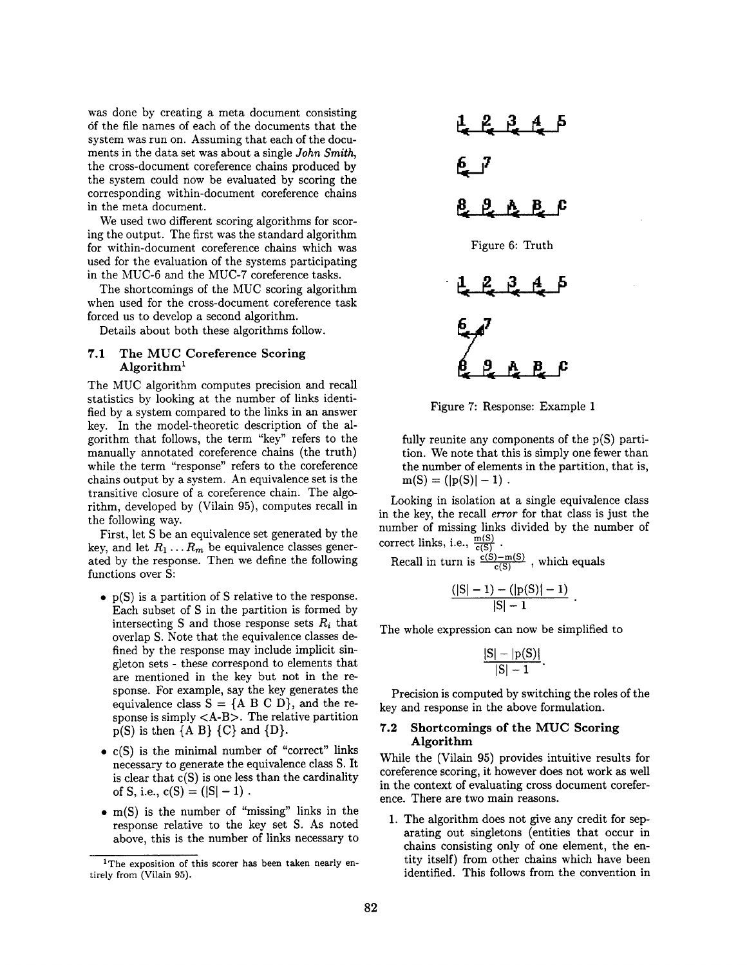was done by creating a meta document consisting 6f the file names of each of the documents that the system was run on. Assuming that each of the documents in the data set was about a single *John Smith,*  the cross-document coreference chains produced by the system could now be evaluated by scoring the corresponding within-document coreference chains in the meta document.

We used two different scoring algorithms for scoring the output. The first was the standard algorithm for within-document coreference chains which was used for the evaluation of the systems participating in the MUC-6 and the MUC-7 coreference tasks.

The shortcomings of the MUC scoring algorithm when used for the cross-document coreference task forced us to develop a second algorithm.

Details about both these algorithms follow.

#### 7.1 The MUC Coreference Scoring Algorithm<sup>1</sup>

The MUC algorithm computes precision and recall statistics by looking at the number of links identified by a system compared to the links in an answer key. In the model-theoretic description of the algorithm that follows, the term "key" refers to the manually annotated coreference chains (the truth) while the term "response" refers to the coreference chains output by a system. An equivalence set is the transitive closure of a coreference chain. The algorithm, developed by (Vilain 95), computes recall in the following way.

First, let S be an equivalence set generated by the key, and let  $R_1 \ldots R_m$  be equivalence classes generated by the response. Then we define the following functions over S:

- p(S) is a partition of S relative to the response. Each subset of S in the partition is formed by intersecting S and those response sets  $R_i$  that overlap S. Note that the equivalence classes defined by the response may include implicit singleton sets - these correspond to elements that are mentioned in the key but not in the response. For example, say the key generates the equivalence class  $S = \{A \ B \ C \ D\}$ , and the response is simply  $\langle A-B \rangle$ . The relative partition  $p(S)$  is then  ${A \mid B}$   ${C}$  and  ${D}$ .
- c(S) is the minimal number of "correct" links necessary to generate the equivalence class S. It is clear that  $c(S)$  is one less than the cardinality of S, i.e.,  $c(S) = (|S| - 1)$ .
- m(S) is the number of "missing" links in the response relative to the key set S. As noted above, this is the number of links necessary to



Figure 7: Response: Example 1

fully reunite any components of the p(S) partition. We note that this is simply one fewer than the number of elements in the partition, that is,  $m(S) = (|p(S)| - 1)$ .

Looking in isolation at a single equivalence class in the key, the recall *error* for that class is just the number of missing links divided by the number of correct links, i.e.,  $\frac{m(S)}{c(S)}$ .

Recall in turn is  $\frac{c(S)-m(S)}{c(S)}$ , which equals

$$
\frac{(|S|-1)-(|p(S)|-1)}{|S|-1}.
$$

The whole expression can now be simplified to

$$
\frac{|S|-|p(S)|}{|S|-1}.
$$

Precision is computed by switching the roles of the key and response in the above formulation.

#### 7.2 Shortcomings of the MUC Scoring **Algorithm**

While the (Vilain 95) provides intuitive results for coreference scoring, it however does not work as well in the context of evaluating cross document coreference. There are two main reasons.

1. The algorithm does not give any credit for separating out singletons (entities that occur in chains consisting only of one element, the entity itself) from other chains which have been identified. This follows from the convention in

<sup>&</sup>lt;sup>1</sup>The exposition of this scorer has been taken nearly entirely from (Vilain 95).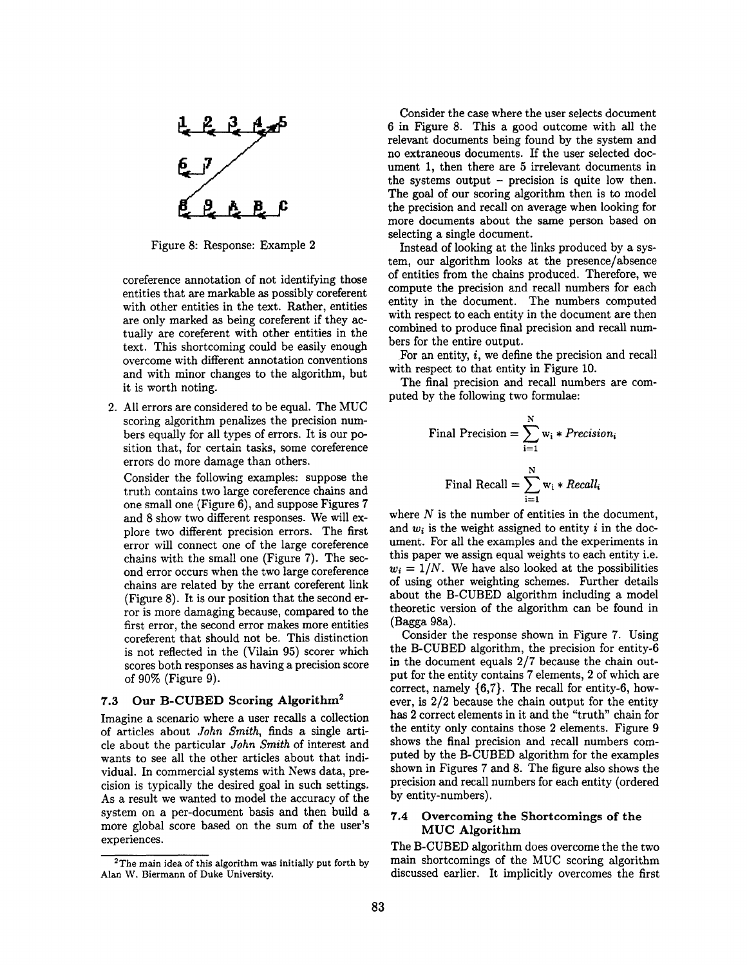

Figure 8: Response: Example 2

coreference annotation of not identifying those entities that are markable as possibly coreferent with other entities in the text. Rather, entities are only marked as being coreferent if they actually are coreferent with other entities in the text. This shortcoming could be easily enough overcome with different annotation conventions and with minor changes to the algorithm, but it is worth noting.

2. All errors are considered to be equal. The MUC scoring algorithm penalizes the precision numbers equally for all types of errors. It is our position that, for certain tasks, some coreference errors do more damage than others.

Consider the following examples: suppose the truth contains two large coreference chains and one small one (Figure 6), and suppose Figures 7 and 8 show two different responses. We will explore two different precision errors. The first error will connect one of the large coreference chains with the small one (Figure 7). The second error occurs when the two large coreference chains are related by the errant coreferent link (Figure 8). It is our position that the second error is more damaging because, compared to the first error, the second error makes more entities coreferent that should not be. This distinction is not reflected in the (Vilain 95) scorer which scores both responses as having a precision score of 90% (Figure 9).

#### 7.3 Our B-CUBED Scoring Algorithm<sup>2</sup>

Imagine a scenario where a user recalls a collection of articles about *John Smith,* finds a single article about the particular *John Smith* of interest and wants to see all the other articles about that individual. In commercial systems with News data, precision is typically the desired goal in such settings. As a result we wanted to model the accuracy of the system on a per-document basis and then build a more global score based on the sum of the user's experiences.

Consider the case where the user selects document 6 in Figure 8. This a good outcome with all the relevant documents being found by the system and no extraneous documents. If the user selected document 1, then there are 5 irrelevant documents in the systems output  $-$  precision is quite low then. The goal of our scoring algorithm then is to model the precision and recall on average when looking for more documents about the same person based on selecting a single document.

Instead of looking at the links produced by a system, our algorithm looks at the presence/absence of entities from the chains produced. Therefore, we compute the precision and recall numbers for each entity in the document. The numbers computed with respect to each entity in the document are then combined to produce final precision and recall numbers for the entire output.

For an entity, i, we define the precision and recall with respect to that entity in Figure 10.

The final precision and recall numbers are computed by the following two formulae:

Final Precision = 
$$
\sum_{i=1}^{N} w_i * Precision_i
$$

\nFinal Recall =  $\sum_{i=1}^{N} w_i * Recall_i$ 

where  $N$  is the number of entities in the document, and  $w_i$  is the weight assigned to entity i in the document. For all the examples and the experiments in this paper we assign equal weights to each entity i.e.  $w_i = 1/N$ . We have also looked at the possibilities of using other weighting schemes. Further details about the B-CUBED algorithm including a model theoretic version of the algorithm can be found in (Bagga 98a).

Consider the response shown in Figure 7. Using the B-CUBED algorithm, the precision for entity-6 in the document equals 2/7 because the chain output for the entity contains 7 elements, 2 of which are correct, namely {6,7}. The recall for entity-6, however, is 2/2 because the chain output for the entity has 2 correct elements in it and the "truth" chain for the entity only contains those 2 elements. Figure 9 shows the final precision and recall numbers computed by the B-CUBED algorithm for the examples shown in Figures 7 and 8. The figure also shows the precision and recall numbers for each entity (ordered by entity-numbers).

### 7.4 Overcoming the Shortcomings of the MUC Algorithm

The B-CUBED algorithm does overcome the the two main shortcomings of the MUC scoring algorithm discussed earlier. It implicitly overcomes the first

 $2$ The main idea of this algorithm was initially put forth by Alan W. Biermann of Duke University.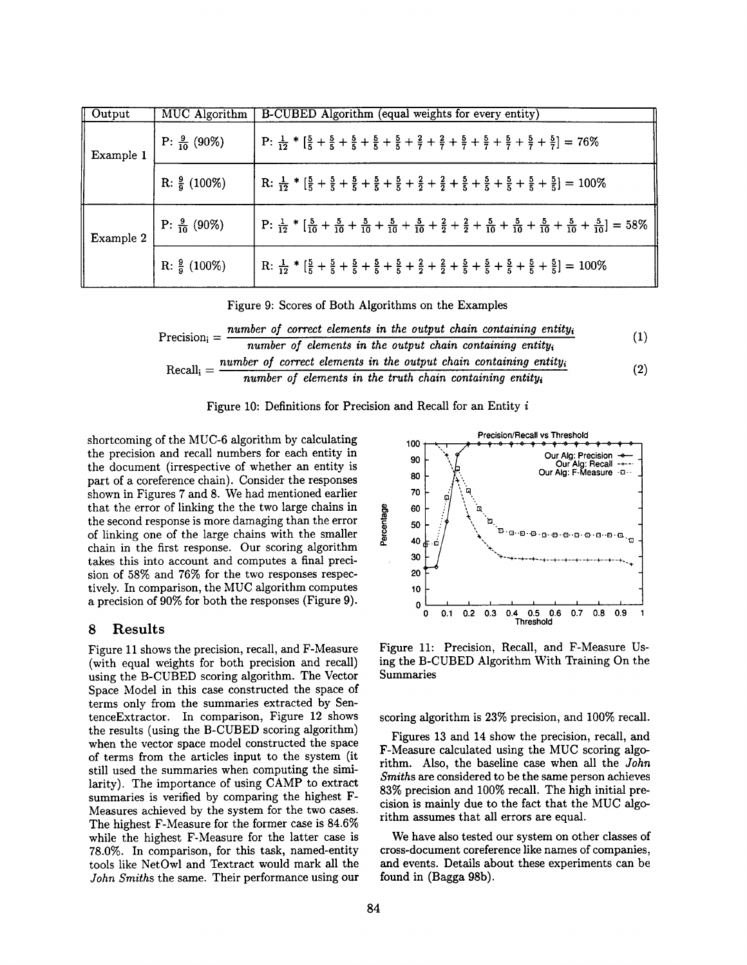| Output    | MUC Algorithm           | B-CUBED Algorithm (equal weights for every entity)                                                                                                                                                                        |
|-----------|-------------------------|---------------------------------------------------------------------------------------------------------------------------------------------------------------------------------------------------------------------------|
| Example 1 | P: $\frac{9}{10}$ (90%) | P: $\frac{1}{12}$ * $\left[\frac{5}{5} + \frac{5}{5} + \frac{5}{5} + \frac{5}{5} + \frac{5}{5} + \frac{2}{7} + \frac{2}{7} + \frac{5}{7} + \frac{5}{7} + \frac{5}{7} + \frac{5}{7} + \frac{5}{7}\right] = 76\%$           |
|           | R: $\frac{9}{9}$ (100%) | R: $\frac{1}{12}$ * $\left[\frac{5}{5} + \frac{5}{5} + \frac{5}{5} + \frac{5}{5} + \frac{5}{5} + \frac{2}{5} + \frac{2}{5} + \frac{5}{5} + \frac{5}{5} + \frac{5}{5} + \frac{5}{5} + \frac{5}{5}\right] = 100\%$          |
| Example 2 | P: $\frac{9}{10}$ (90%) | P: $\frac{1}{12}$ * $\left[\frac{5}{10} + \frac{5}{10} + \frac{5}{10} + \frac{5}{10} + \frac{5}{10} + \frac{2}{2} + \frac{2}{2} + \frac{5}{10} + \frac{5}{10} + \frac{5}{10} + \frac{5}{10} + \frac{5}{10}\right] = 58\%$ |
|           | R: $\frac{9}{9}$ (100%) | R: $\frac{1}{12}$ * $\left[\frac{5}{5} + \frac{5}{5} + \frac{5}{5} + \frac{5}{5} + \frac{5}{5} + \frac{2}{5} + \frac{2}{5} + \frac{5}{5} + \frac{5}{5} + \frac{5}{5} + \frac{5}{5} + \frac{5}{5}\right] = 100\%$          |

Figure 9: Scores of Both Algorithms on the Examples

$$
Precision_{i} = \frac{number\ of\ correct\ elements\ in\ the\ output\ chain\ containing\ entity_{i}}{number\ of\ elements\ in\ the\ output\ chain\ containing\ entity_{i}}
$$
(1)  
Recall<sub>i</sub> =  $\frac{number\ of\ correct\ elements\ in\ the\ output\ chain\ containing\ entity_{i}}{number\ of\ elements\ in\ the\ truth\ chain\ containing\ entity_{i}}$  (2)

Figure 10: Definitions for Precision and Recall for an Entity i

shortcoming of the MUC-6 algorithm by calculating the precision and recall numbers for each entity in the document (irrespective of whether an entity is part of a coreference chain). Consider the responses shown in Figures 7 and 8. We had mentioned earlier that the error of linking the the two large chains in the second response is more damaging than the error of linking one of the large chains with the smaller chain in the first response. Our scoring algorithm takes this into account and computes a final precision of 58% and 76% for the two responses respectively. In comparison, the MUC algorithm computes a precision of 90% for both the responses (Figure 9).

#### **8** Results

Figure 11 shows the precision, recall, and F-Measure (with equal weights for both precision and recall) using the B-CUBED scoring algorithm. The Vector Space Model in this case constructed the space of terms only from the summaries extracted by SentenceExtractor. In comparison, Figure 12 shows the results (using the B-CUBED scoring algorithm) when the vector space model constructed the space of terms from the articles input to the system (it still used the summaries when computing the similaxity). The importance of using CAMP to extract summaries is verified by comparing the highest F-Measures achieved by the system for the two cases. The highest F-Measure for the former case is 84.6% while the highest F-Measure for the latter case is 78.0%. In comparison, for this task, named-entity tools like NetOwl and Textract would mark all the *John Smiths* the same. Their performance using our

**Precision/Recall vs Threshold**  100 Our Alg: Precision → 90 Our AIg: Recall -+--- %,, Our **AIg: F-Measure** -o-- 80  $\cdot$  . 70 60 Percentage *~ ~',~*  50 "~ '~" G" "E}" "{3"" B" "D - ~3" "O" "~" G" "E}" "El" "El 40 30 "+ o "-+- -+- -+. \_+\_ ..+\_ \_+\_ \_+\_ \_+\_ .+\_ \_+\_ .+~..~\_ 20' 10 **I I I I I I I I**   $0 \longrightarrow$ 0 0.1 0.2 0.3 0.4 0.5 0.6 0.7 0.8 0.9 **Threshold** 

Figure 11: Precision, Recall, and F-Measure Using the B-CUBED Algorithm With Training On the Summaries

scoring algorithm is 23% precision, and 100% recall.

Figures 13 and 14 show the precision, recall, and F-Measure calculated using the MUC scoring algorithm. Also, the baseline case when all the *John Smiths are* considered to be the same person achieves 83% precision and 100% recall. The high initial precision is mainly due to the fact that the MUC algorithm assumes that all errors are equal.

We have also tested our system on other classes of cross-document coreference like names of companies, and events. Details about these experiments can be found in (Bagga 98b).